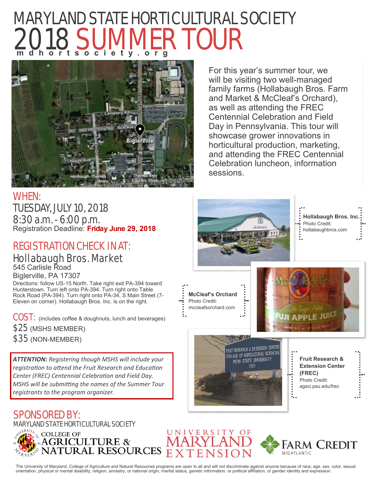# MARYLAND STATE HORTICULTURAL SOCIETY 2018 SUMMER TOUR **mdhortsociety.org**



For this year's summer tour, we will be visiting two well-managed family farms (Hollabaugh Bros. Farm and Market & McCleaf's Orchard), as well as attending the FREC Centennial Celebration and Field Day in Pennsylvania. This tour will showcase grower innovations in horticultural production, marketing, and attending the FREC Centennial Celebration luncheon, information sessions.

WHEN: TUESDAY, JULY 10, 2018 8:30 a.m. - 6:00 p.m. Registration Deadline: **Friday June 29, 2018**

# REGISTRATION CHECK IN AT: Hollabaugh Bros. Market

545 Carlisle Road

Biglerville, PA 17307 Directions: follow US-15 North. Take right exit PA-394 toward Hunterstown. Turn left onto PA-394. Turn right onto Table Rock Road (PA-394). Turn right onto PA-34, S Main Street (7- Eleven on corner). Hollabaugh Bros. Inc. is on the right.

COST: (includes coffee & doughnuts, lunch and beverages) \$25 (MSHS MEMBER) \$35 (NON-MEMBER)

*ATTENTION: Registering though MSHS will include your registraƟon to aƩend the Fruit Research and EducaƟon*  **Center (FREC) Centennial Celebration and Field Day.** *MSHS will be submiƫng the names of the Summer Tour registrants to the program organizer.* 

# SPONSORED BY:

MARYLAND STATE HORTICULTURAL SOCIETY







The University of Maryland, College of Agriculture and Natural Resources programs are open to all and will not discriminate against anyone because of race, age, sex, color, sexual orientation, physical or mental disability, religion, ancestry, or national origin, marital status, genetic information, or political affiliation, or gender identity and expression.